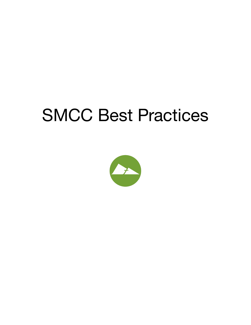# SMCC Best Practices

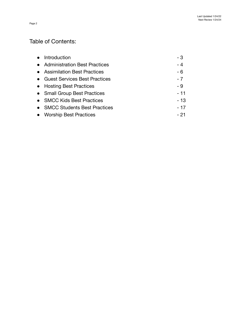# Table of Contents:

| Introduction                         | - 3   |
|--------------------------------------|-------|
| • Administration Best Practices      | $-4$  |
| • Assimilation Best Practices        | $-6$  |
| <b>Guest Services Best Practices</b> | $-7$  |
| • Hosting Best Practices             | - 9   |
| • Small Group Best Practices         | $-11$ |
| • SMCC Kids Best Practices           | $-13$ |
| • SMCC Students Best Practices       | $-17$ |
| <b>Worship Best Practices</b>        | - 21  |
|                                      |       |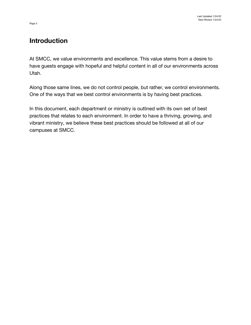# **Introduction**

At SMCC, we value environments and excellence. This value stems from a desire to have guests engage with hopeful and helpful content in all of our environments across Utah.

Along those same lines, we do not control people, but rather, we control environments. One of the ways that we best control environments is by having best practices.

In this document, each department or ministry is outlined with its own set of best practices that relates to each environment. In order to have a thriving, growing, and vibrant ministry, we believe these best practices should be followed at all of our campuses at SMCC.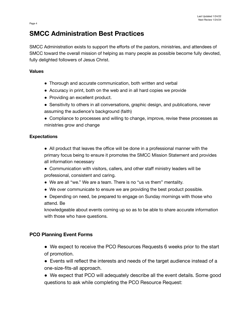# **SMCC Administration Best Practices**

SMCC Administration exists to support the efforts of the pastors, ministries, and attendees of SMCC toward the overall mission of helping as many people as possible become fully devoted, fully delighted followers of Jesus Christ.

#### **Values**

- Thorough and accurate communication, both written and verbal
- Accuracy in print, both on the web and in all hard copies we provide
- Providing an excellent product.
- Sensitivity to others in all conversations, graphic design, and publications, never assuming the audience's background (faith)
- Compliance to processes and willing to change, improve, revise these processes as ministries grow and change

## **Expectations**

- All product that leaves the office will be done in a professional manner with the primary focus being to ensure it promotes the SMCC Mission Statement and provides all information necessary
- Communication with visitors, callers, and other staff ministry leaders will be professional, consistent and caring.
- We are all "we." We are a team. There is no "us vs them" mentality.
- We over communicate to ensure we are providing the best product possible.
- Depending on need, be prepared to engage on Sunday mornings with those who attend. Be

knowledgeable about events coming up so as to be able to share accurate information with those who have questions.

# **PCO Planning Event Forms**

- We expect to receive the PCO Resources Requests 6 weeks prior to the start of promotion.
- Events will reflect the interests and needs of the target audience instead of a one-size-fits-all approach.
- We expect that PCO will adequately describe all the event details. Some good questions to ask while completing the PCO Resource Request: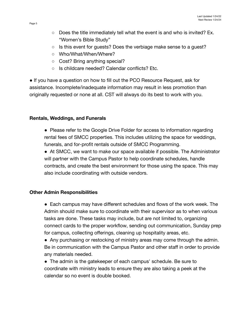- Does the title immediately tell what the event is and who is invited? Ex. "Women's Bible Study"
- Is this event for guests? Does the verbiage make sense to a guest?
- Who/What/When/Where?
- Cost? Bring anything special?
- Is childcare needed? Calendar conflicts? Etc.

● If you have a question on how to fill out the PCO Resource Request, ask for assistance. Incomplete/inadequate information may result in less promotion than originally requested or none at all. CST will always do its best to work with you.

#### **Rentals, Weddings, and Funerals**

• Please refer to the Google Drive Folder for access to information regarding rental fees of SMCC properties. This includes utilizing the space for weddings, funerals, and for-profit rentals outside of SMCC Programming.

• At SMCC, we want to make our space available if possible. The Administrator will partner with the Campus Pastor to help coordinate schedules, handle contracts, and create the best environment for those using the space. This may also include coordinating with outside vendors.

#### **Other Admin Responsibilities**

● Each campus may have different schedules and flows of the work week. The Admin should make sure to coordinate with their supervisor as to when various tasks are done. These tasks may include, but are not limited to, organizing connect cards to the proper workflow, sending out communication, Sunday prep for campus, collecting offerings, cleaning up hospitality areas, etc.

• Any purchasing or restocking of ministry areas may come through the admin. Be in communication with the Campus Pastor and other staff in order to provide any materials needed.

• The admin is the gatekeeper of each campus' schedule. Be sure to coordinate with ministry leads to ensure they are also taking a peek at the calendar so no event is double booked.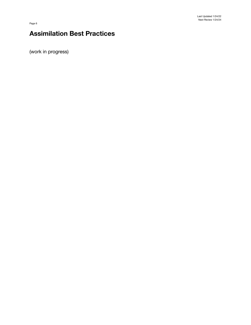# **Assimilation Best Practices**

(work in progress)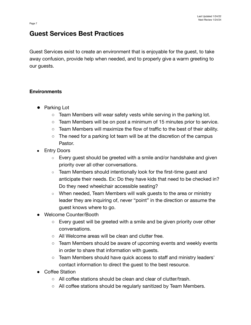# **Guest Services Best Practices**

Guest Services exist to create an environment that is enjoyable for the guest, to take away confusion, provide help when needed, and to properly give a warm greeting to our guests.

## **Environments**

- **●** Parking Lot
	- Team Members will wear safety vests while serving in the parking lot.
	- Team Members will be on post a minimum of 15 minutes prior to service.
	- $\circ$  Team Members will maximize the flow of traffic to the best of their ability.
	- The need for a parking lot team will be at the discretion of the campus Pastor.
- Entry Doors
	- Every guest should be greeted with a smile and/or handshake and given priority over all other conversations.
	- Team Members should intentionally look for the first-time guest and anticipate their needs. Ex: Do they have kids that need to be checked in? Do they need wheelchair accessible seating?
	- When needed, Team Members will walk guests to the area or ministry leader they are inquiring of, never "point" in the direction or assume the guest knows where to go.
- Welcome Counter/Booth
	- Every guest will be greeted with a smile and be given priority over other conversations.
	- All Welcome areas will be clean and clutter free.
	- Team Members should be aware of upcoming events and weekly events in order to share that information with guests.
	- Team Members should have quick access to staff and ministry leaders' contact information to direct the guest to the best resource.
- Coffee Station
	- All coffee stations should be clean and clear of clutter/trash.
	- All coffee stations should be regularly sanitized by Team Members.

Page 7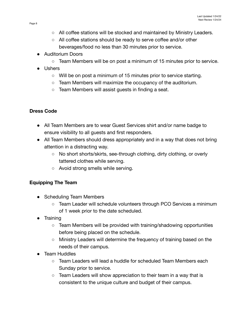- All coffee stations will be stocked and maintained by Ministry Leaders.
- All coffee stations should be ready to serve coffee and/or other beverages/food no less than 30 minutes prior to service.
- Auditorium Doors
	- $\circ$  Team Members will be on post a minimum of 15 minutes prior to service.
- Ushers
	- Will be on post a minimum of 15 minutes prior to service starting.
	- Team Members will maximize the occupancy of the auditorium.
	- Team Members will assist guests in finding a seat.

# **Dress Code**

- All Team Members are to wear Guest Services shirt and/or name badge to ensure visibility to all guests and first responders.
- All Team Members should dress appropriately and in a way that does not bring attention in a distracting way.
	- No short shorts/skirts, see-through clothing, dirty clothing, or overly tattered clothes while serving.
	- Avoid strong smells while serving.

# **Equipping The Team**

- Scheduling Team Members
	- Team Leader will schedule volunteers through PCO Services a minimum of 1 week prior to the date scheduled.
- **Training** 
	- Team Members will be provided with training/shadowing opportunities before being placed on the schedule.
	- Ministry Leaders will determine the frequency of training based on the needs of their campus.
- **Team Huddles** 
	- Team Leaders will lead a huddle for scheduled Team Members each Sunday prior to service.
	- $\circ$  Team Leaders will show appreciation to their team in a way that is consistent to the unique culture and budget of their campus.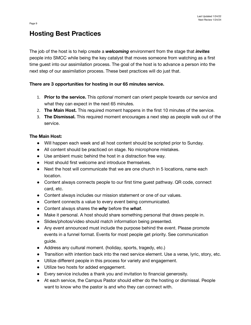# **Hosting Best Practices**

The job of the host is to help create a *welcoming* environment from the stage that *invites* people into SMCC while being the key catalyst that moves someone from watching as a first time guest into our assimilation process. The goal of the host is to advance a person into the next step of our assimilation process. These best practices will do just that.

#### **There are 3 opportunities for hosting in our 65 minutes service.**

- 1. **Prior to the service.** This *optional* moment can orient people towards our service and what they can expect in the next 65 minutes.
- 2. **The Main Host.** This required moment happens in the first 10 minutes of the service.
- 3. **The Dismissal.** This required moment encourages a next step as people walk out of the service.

#### **The Main Host:**

- Will happen each week and all host content should be scripted prior to Sunday.
- All content should be practiced on stage. No microphone mistakes.
- Use ambient music behind the host in a distraction free way.
- Host should first welcome and introduce themselves.
- Next the host will communicate that we are one church in 5 locations, name each location.
- Content always connects people to our first time guest pathway. QR code, connect card, etc.
- Content always includes our mission statement or one of our values.
- Content connects a value to every event being communicated.
- Content always shares the *why* before the *what*.
- Make it personal. A host should share something personal that draws people in.
- Slides/photos/video should match information being presented.
- Any event announced must include the purpose behind the event. Please promote events in a funnel format. Events for most people get priority. See communication guide.
- Address any cultural moment. (holiday, sports, tragedy, etc.)
- Transition with intention back into the next service element. Use a verse, lyric, story, etc.
- Utilize different people in this process for variety and engagement.
- Utilize two hosts for added engagement.
- Every service includes a thank you and invitation to financial generosity.
- At each service, the Campus Pastor should either do the hosting or dismissal. People want to know who the pastor is and who they can connect with.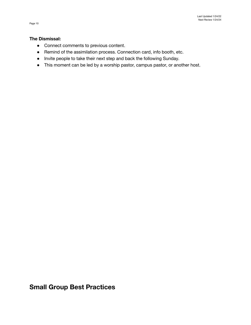#### **The Dismissal:**

- Connect comments to previous content.
- Remind of the assimilation process. Connection card, info booth, etc.
- Invite people to take their next step and back the following Sunday.
- This moment can be led by a worship pastor, campus pastor, or another host.

**Small Group Best Practices**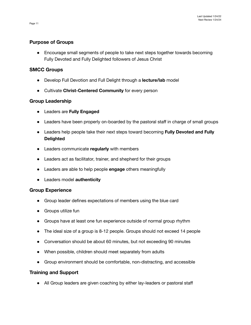#### **Purpose of Groups**

● Encourage small segments of people to take next steps together towards becoming Fully Devoted and Fully Delighted followers of Jesus Christ

#### **SMCC Groups**

- Develop Full Devotion and Full Delight through a **lecture/lab** model
- Cultivate **Christ-Centered Community** for every person

## **Group Leadership**

- Leaders are **Fully Engaged**
- Leaders have been properly on-boarded by the pastoral staff in charge of small groups
- Leaders help people take their next steps toward becoming **Fully Devoted and Fully Delighted**
- Leaders communicate **regularly** with members
- Leaders act as facilitator, trainer, and shepherd for their groups
- Leaders are able to help people **engage** others meaningfully
- Leaders model **authenticity**

#### **Group Experience**

- Group leader defines expectations of members using the blue card
- Groups utilize fun
- Groups have at least one fun experience outside of normal group rhythm
- The ideal size of a group is 8-12 people. Groups should not exceed 14 people
- Conversation should be about 60 minutes, but not exceeding 90 minutes
- When possible, children should meet separately from adults
- Group environment should be comfortable, non-distracting, and accessible

#### **Training and Support**

• All Group leaders are given coaching by either lay-leaders or pastoral staff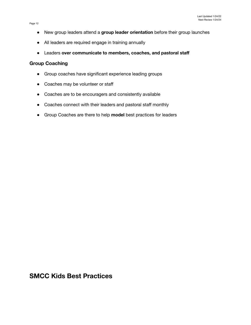- New group leaders attend a **group leader orientation** before their group launches
- All leaders are required engage in training annually
- Leaders **over communicate to members, coaches, and pastoral staff**

#### **Group Coaching**

- Group coaches have significant experience leading groups
- Coaches may be volunteer or staff
- Coaches are to be encouragers and consistently available
- Coaches connect with their leaders and pastoral staff monthly
- Group Coaches are there to help **model** best practices for leaders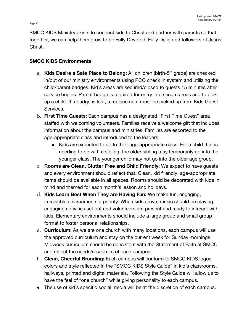# **SMCC KIDS Environments**

- a. **Kids Desire a Safe Place to Belong:** All children (birth-5<sup>th</sup> grade) are checked in/out of our ministry environments using PCO check in system and utilizing the child/parent badges. Kid's areas are secured/closed to guests 15 minutes after service begins. Parent badge is required for entry into secure areas and to pick up a child. If a badge is lost, a replacement must be picked up from Kids Guest Services.
- b. **First Time Guests:** Each campus has a designated "First Time Guest" area staffed with welcoming volunteers. Families receive a welcome gift that includes information about the campus and ministries. Families are escorted to the age-appropriate class and introduced to the leaders.
	- Kids are expected to go to their age-appropriate class. For a child that is needing to be with a sibling, the older sibling may temporarily go into the younger class. The younger child may not go into the older age group.
- c. **Rooms are Clean, Clutter Free and Child Friendly:** We expect to have guests and every environment should reflect that. Clean, kid friendly, age-appropriate items should be available in all spaces. Rooms should be decorated with kids in mind and themed for each month's lesson and holidays.
- d. **Kids Learn Best When They are Having Fun:** We make fun, engaging, irresistible environments a priority. When kids arrive, music should be playing, engaging activities set out and volunteers are present and ready to interact with kids. Elementary environments should include a large group and small group format to foster personal relationships.
- e. **Curriculum:** As we are one church with many locations, each campus will use the approved curriculum and stay on the current week for Sunday mornings. Midweek curriculum should be consistent with the Statement of Faith at SMCC and reflect the needs/resources of each campus.
- f. **Clean, Cheerful Branding:** Each campus will conform to SMCC KIDS logos, colors and style reflected in the "SMCC KIDS Style Guide" in kid's classrooms, hallways, printed and digital materials. Following the Style Guide will allow us to have the feel of "one church" while giving personality to each campus.
- The use of kid's specific social media will be at the discretion of each campus.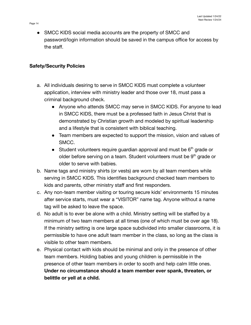• SMCC KIDS social media accounts are the property of SMCC and password/login information should be saved in the campus office for access by the staff.

# **Safety/Security Policies**

- a. All individuals desiring to serve in SMCC KIDS must complete a volunteer application, interview with ministry leader and those over 18, must pass a criminal background check.
	- Anyone who attends SMCC may serve in SMCC KIDS. For anyone to lead in SMCC KIDS, there must be a professed faith in Jesus Christ that is demonstrated by Christian growth and modeled by spiritual leadership and a lifestyle that is consistent with biblical teaching.
	- Team members are expected to support the mission, vision and values of SMCC.
	- Student volunteers require quardian approval and must be  $6<sup>th</sup>$  grade or older before serving on a team. Student volunteers must be  $9<sup>th</sup>$  grade or older to serve with babies.
- b. Name tags and ministry shirts (or vests) are worn by all team members while serving in SMCC KIDS. This identifies background checked team members to kids and parents, other ministry staff and first responders.
- c. Any non-team member visiting or touring secure kids' environments 15 minutes after service starts, must wear a "VISITOR" name tag. Anyone without a name tag will be asked to leave the space.
- d. No adult is to ever be alone with a child. Ministry setting will be staffed by a minimum of two team members at all times (one of which must be over age 18). If the ministry setting is one large space subdivided into smaller classrooms, it is permissible to have one adult team member in the class, so long as the class is visible to other team members.
- e. Physical contact with kids should be minimal and only in the presence of other team members. Holding babies and young children is permissible in the presence of other team members in order to sooth and help calm little ones. **Under no circumstance should a team member ever spank, threaten, or belittle or yell at a child.**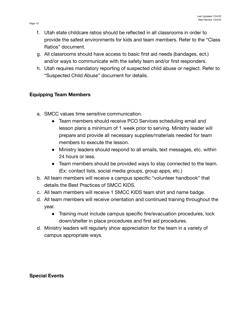- f. Utah state childcare ratios should be reflected in all classrooms in order to provide the safest environments for kids and team members. Refer to the "Class Ratios" document.
- g. All classrooms should have access to basic first aid needs (bandages, ect.) and/or ways to communicate with the safety team and/or first responders.
- h. Utah requires mandatory reporting of suspected child abuse or neglect. Refer to "Suspected Child Abuse" document for details.

# **Equipping Team Members**

- a. SMCC values time sensitive communication.
	- Team members should receive PCO Services scheduling email and lesson plans a minimum of 1 week prior to serving. Ministry leader will prepare and provide all necessary supplies/materials needed for team members to execute the lesson.
	- Ministry leaders should respond to all emails, text messages, etc. within 24 hours or less.
	- Team members should be provided ways to stay connected to the team. (Ex: contact lists, social media groups, group apps, etc.)
- b. All team members will receive a campus specific "volunteer handbook" that details the Best Practices of SMCC KIDS.
- c. All team members will receive 1 SMCC KIDS team shirt and name badge.
- d. All team members will receive orientation and continued training throughout the year.
	- Training must include campus specific fire/evacuation procedures, lock down/shelter in place procedures and first aid procedures.
- d. Ministry leaders will regularly show appreciation for the team in a variety of campus appropriate ways.

**Special Events**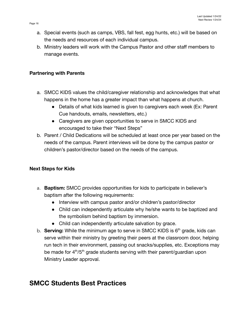- a. Special events (such as camps, VBS, fall fest, egg hunts, etc.) will be based on the needs and resources of each individual campus.
- b. Ministry leaders will work with the Campus Pastor and other staff members to manage events.

#### **Partnering with Parents**

- a. SMCC KIDS values the child/caregiver relationship and acknowledges that what happens in the home has a greater impact than what happens at church.
	- Details of what kids learned is given to caregivers each week (Ex: Parent Cue handouts, emails, newsletters, etc.)
	- Caregivers are given opportunities to serve in SMCC KIDS and encouraged to take their "Next Steps"
- b. Parent / Child Dedications will be scheduled at least once per year based on the needs of the campus. Parent interviews will be done by the campus pastor or children's pastor/director based on the needs of the campus.

# **Next Steps for Kids**

- a. **Baptism:** SMCC provides opportunities for kids to participate in believer's baptism after the following requirements:
	- Interview with campus pastor and/or children's pastor/director
	- Child can independently articulate why he/she wants to be baptized and the symbolism behind baptism by immersion.
	- Child can independently articulate salvation by grace.
- b. **Serving:** While the minimum age to serve in SMCC KIDS is 6<sup>th</sup> grade, kids can serve within their ministry by greeting their peers at the classroom door, helping run tech in their environment, passing out snacks/supplies, etc. Exceptions may be made for 4<sup>th</sup>/5<sup>th</sup> grade students serving with their parent/guardian upon Ministry Leader approval.

# **SMCC Students Best Practices**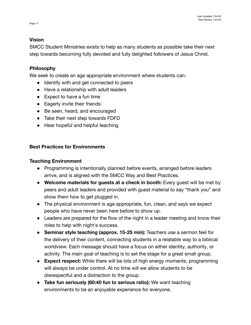#### **Vision**

SMCC Student Ministries exists to help as many students as possible take their next step towards becoming fully devoted and fully delighted followers of Jesus Christ.

#### **Philosophy**

We seek to create an age appropriate environment where students can:

- Identify with and get connected to peers
- Have a relationship with adult leaders
- Expect to have a fun time
- Eagerly invite their friends
- Be seen, heard, and encouraged
- Take their next step towards FDFD
- Hear hopeful and helpful teaching

#### **Best Practices for Environments**

#### **Teaching Environment**

- **●** Programming is intentionally planned before events, arranged before leaders arrive, and is aligned with the SMCC Way and Best Practices.
- **Welcome materials for guests at a check in booth:** Every guest will be met by peers and adult leaders and provided with guest material to say "thank you" and show them how to get plugged in.
- The physical environment is age appropriate, fun, clean, and says we expect people who have never been here before to show up.
- Leaders are prepared for the flow of the night in a leader meeting and know their roles to help with night's success.
- **Seminar style teaching (approx. 15-25 min):** Teachers use a sermon feel for the delivery of their content, connecting students in a relatable way to a biblical worldview. Each message should have a focus on either identity, authority, or activity. The main goal of teaching is to set the stage for a great small group.
- **Expect respect:** While there will be lots of high energy moments, programming will always be under control. At no time will we allow students to be disrespectful and a distraction to the group.
- **Take fun seriously (60:40 fun to serious ratio):** We want teaching environments to be an enjoyable experience for everyone.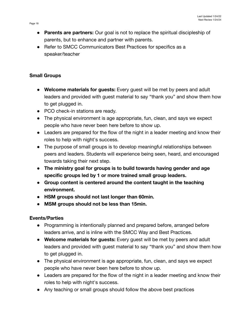- **Parents are partners:** Our goal is not to replace the spiritual discipleship of parents, but to enhance and partner with parents.
- Refer to SMCC Communicators Best Practices for specifics as a speaker/teacher

# **Small Groups**

- **Welcome materials for guests:** Every guest will be met by peers and adult leaders and provided with guest material to say "thank you" and show them how to get plugged in.
- PCO check-in stations are ready.
- The physical environment is age appropriate, fun, clean, and says we expect people who have never been here before to show up.
- Leaders are prepared for the flow of the night in a leader meeting and know their roles to help with night's success.
- The purpose of small groups is to develop meaningful relationships between peers and leaders. Students will experience being seen, heard, and encouraged towards taking their next step.
- **● The ministry goal for groups is to build towards having gender and age specific groups led by 1 or more trained small group leaders.**
- **● Group content is centered around the content taught in the teaching environment.**
- **● HSM groups should not last longer than 60min.**
- **● MSM groups should not be less than 15min.**

# **Events/Parties**

- Programming is intentionally planned and prepared before, arranged before leaders arrive, and is inline with the SMCC Way and Best Practices.
- **Welcome materials for guests:** Every guest will be met by peers and adult leaders and provided with guest material to say "thank you" and show them how to get plugged in.
- The physical environment is age appropriate, fun, clean, and says we expect people who have never been here before to show up.
- Leaders are prepared for the flow of the night in a leader meeting and know their roles to help with night's success.
- Any teaching or small groups should follow the above best practices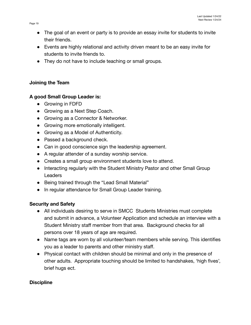- The goal of an event or party is to provide an essay invite for students to invite their friends.
- Events are highly relational and activity driven meant to be an easy invite for students to invite friends to.
- They do not have to include teaching or small groups.

# **Joining the Team**

# **A good Small Group Leader is:**

- Growing in FDFD
- Growing as a Next Step Coach.
- Growing as a Connector & Networker.
- Growing more emotionally intelligent.
- Growing as a Model of Authenticity.
- Passed a background check.
- Can in good conscience sign the leadership agreement.
- A regular attender of a sunday worship service.
- Creates a small group environment students love to attend.
- Interacting regularly with the Student Ministry Pastor and other Small Group **Leaders**
- Being trained through the "Lead Small Material"
- In regular attendance for Small Group Leader training.

# **Security and Safety**

- All individuals desiring to serve in SMCC Students Ministries must complete and submit in advance, a Volunteer Application and schedule an interview with a Student Ministry staff member from that area. Background checks for all persons over 18 years of age are required.
- Name tags are worn by all volunteer/team members while serving. This identifies you as a leader to parents and other ministry staff.
- Physical contact with children should be minimal and only in the presence of other adults. Appropriate touching should be limited to handshakes, 'high fives', brief hugs ect.

# **Discipline**

Page 19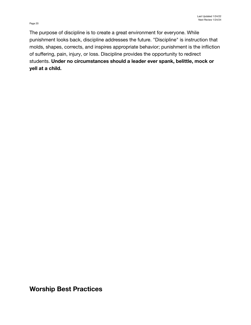Page 20

The purpose of discipline is to create a great environment for everyone. While punishment looks back, discipline addresses the future. "Discipline" is instruction that molds, shapes, corrects, and inspires appropriate behavior; punishment is the infliction of suffering, pain, injury, or loss. Discipline provides the opportunity to redirect students. **Under no circumstances should a leader ever spank, belittle, mock or yell at a child.**

**Worship Best Practices**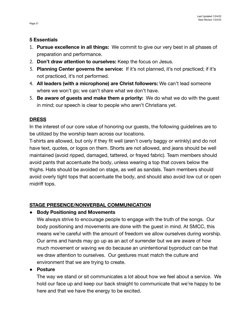#### **5 Essentials**

- 1. **Pursue excellence in all things:** We commit to give our very best in all phases of preparation and performance.
- 2. **Don't draw attention to ourselves:** Keep the focus on Jesus.
- 3. **Planning Center governs the service:** If it's not planned, it's not practiced; if it's not practiced, it's not performed.
- 4. **All leaders (with a microphone) are Christ followers:** We can't lead someone where we won't go; we can't share what we don't have.
- 5. **Be aware of guests and make them a priority:** We do what we do with the guest in mind; our speech is clear to people who aren't Christians yet.

# **DRESS**

In the interest of our core value of honoring our guests, the following guidelines are to be utilized by the worship team across our locations.

T-shirts are allowed, but only if they fit well (aren't overly baggy or wrinkly) and do not have text, quotes, or logos on them. Shorts are not allowed, and jeans should be well maintained (avoid ripped, damaged, tattered, or frayed fabric). Team members should avoid pants that accentuate the body, unless wearing a top that covers below the thighs. Hats should be avoided on stage, as well as sandals. Team members should avoid overly tight tops that accentuate the body, and should also avoid low cut or open midriff tops.

# **STAGE PRESENCE/NONVERBAL COMMUNICATION**

# **● Body Positioning and Movements**

We always strive to encourage people to engage with the truth of the songs. Our body positioning and movements are done with the guest in mind. At SMCC, this means we're careful with the amount of freedom we allow ourselves during worship. Our arms and hands may go up as an act of surrender but we are aware of how much movement or waving we do because an unintentional byproduct can be that we draw attention to ourselves. Our gestures must match the culture and environment that we are trying to create.

# **● Posture**

The way we stand or sit communicates a lot about how we feel about a service. We hold our face up and keep our back straight to communicate that we're happy to be here and that we have the energy to be excited.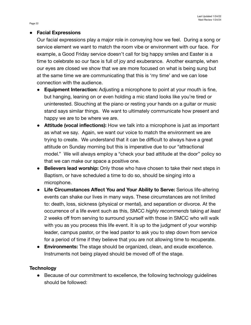## **● Facial Expressions**

Our facial expressions play a major role in conveying how we feel. During a song or service element we want to match the room vibe or environment with our face. For example, a Good Friday service doesn't call for big happy smiles and Easter is a time to celebrate so our face is full of joy and exuberance. Another example, when our eyes are closed we show that we are more focused on what is being sung but at the same time we are communicating that this is 'my time' and we can lose connection with the audience.

- **Equipment Interaction:** Adjusting a microphone to point at your mouth is fine, but hanging, leaning on or even holding a mic stand looks like you're tired or uninterested. Slouching at the piano or resting your hands on a guitar or music stand says similar things. We want to ultimately communicate how present and happy we are to be where we are.
- **● Attitude (vocal inflections):** How we talk into a microphone is just as important as what we say. Again, we want our voice to match the environment we are trying to create. We understand that it can be difficult to always have a great attitude on Sunday morning but this is imperative due to our "attractional model." We will always employ a "check your bad attitude at the door" policy so that we can make our space a positive one.
- **● Believers lead worship:** Only those who have chosen to take their next steps in Baptism, or have scheduled a time to do so, should be singing into a microphone.
- **● Life Circumstances Affect You and Your Ability to Serve:** Serious life-altering events can shake our lives in many ways. These circumstances are not limited to: death, loss, sickness (physical or mental), and separation or divorce. At the occurrence of a life event such as this, SMCC *highly recommends* taking *at least* 2 weeks off from serving to surround yourself with those in SMCC who will walk with you as you process this life event. It is up to the judgment of your worship leader, campus pastor, or the lead pastor to ask you to step down from service for a period of time if they believe that you are not allowing time to recuperate.
- **● Environments:** The stage should be organized, clean, and exude excellence. Instruments not being played should be moved off of the stage.

# **Technology**

● Because of our commitment to excellence, the following technology guidelines should be followed:

Page 22